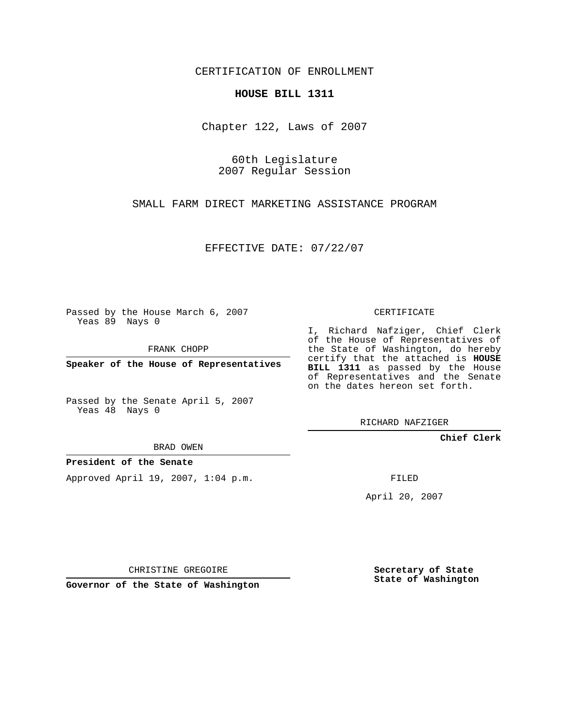CERTIFICATION OF ENROLLMENT

## **HOUSE BILL 1311**

Chapter 122, Laws of 2007

60th Legislature 2007 Regular Session

SMALL FARM DIRECT MARKETING ASSISTANCE PROGRAM

EFFECTIVE DATE: 07/22/07

Passed by the House March 6, 2007 Yeas 89 Nays 0

FRANK CHOPP

**Speaker of the House of Representatives**

Passed by the Senate April 5, 2007 Yeas 48 Nays 0

BRAD OWEN

**President of the Senate**

Approved April 19, 2007, 1:04 p.m.

CERTIFICATE

I, Richard Nafziger, Chief Clerk of the House of Representatives of the State of Washington, do hereby certify that the attached is **HOUSE BILL 1311** as passed by the House of Representatives and the Senate on the dates hereon set forth.

RICHARD NAFZIGER

**Chief Clerk**

FILED

April 20, 2007

CHRISTINE GREGOIRE

**Governor of the State of Washington**

**Secretary of State State of Washington**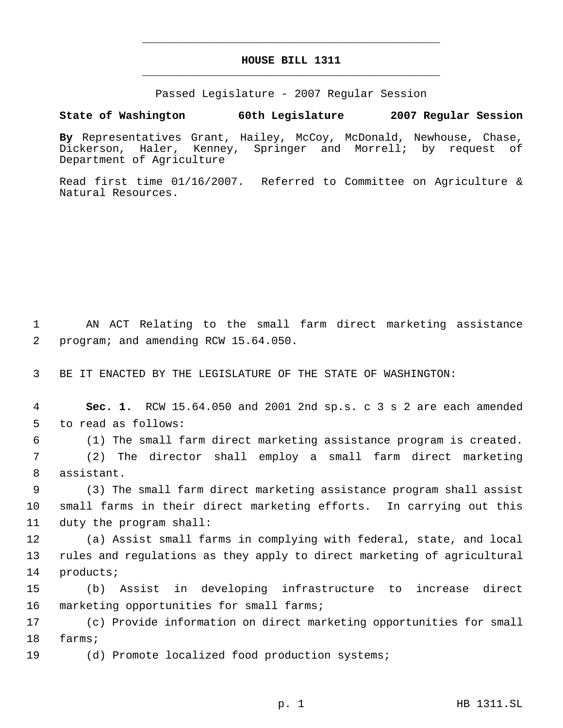## **HOUSE BILL 1311** \_\_\_\_\_\_\_\_\_\_\_\_\_\_\_\_\_\_\_\_\_\_\_\_\_\_\_\_\_\_\_\_\_\_\_\_\_\_\_\_\_\_\_\_\_

\_\_\_\_\_\_\_\_\_\_\_\_\_\_\_\_\_\_\_\_\_\_\_\_\_\_\_\_\_\_\_\_\_\_\_\_\_\_\_\_\_\_\_\_\_

Passed Legislature - 2007 Regular Session

**State of Washington 60th Legislature 2007 Regular Session**

**By** Representatives Grant, Hailey, McCoy, McDonald, Newhouse, Chase, Dickerson, Haler, Kenney, Springer and Morrell; by request of Department of Agriculture

Read first time 01/16/2007. Referred to Committee on Agriculture & Natural Resources.

 1 AN ACT Relating to the small farm direct marketing assistance 2 program; and amending RCW 15.64.050.

3 BE IT ENACTED BY THE LEGISLATURE OF THE STATE OF WASHINGTON:

 4 **Sec. 1.** RCW 15.64.050 and 2001 2nd sp.s. c 3 s 2 are each amended 5 to read as follows:

6 (1) The small farm direct marketing assistance program is created.

 7 (2) The director shall employ a small farm direct marketing 8 assistant.

 9 (3) The small farm direct marketing assistance program shall assist 10 small farms in their direct marketing efforts. In carrying out this 11 duty the program shall:

12 (a) Assist small farms in complying with federal, state, and local 13 rules and regulations as they apply to direct marketing of agricultural 14 products;

15 (b) Assist in developing infrastructure to increase direct 16 marketing opportunities for small farms;

17 (c) Provide information on direct marketing opportunities for small 18 farms;

19 (d) Promote localized food production systems;